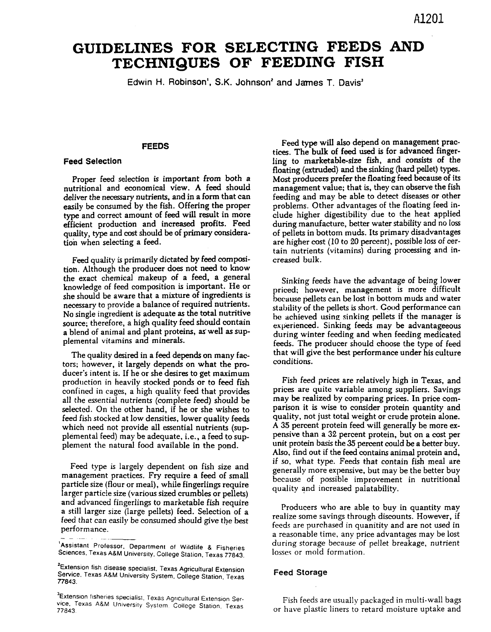# GUIDELINES FOR SELECTING FEEDS AND TECHNIQUES OF FEEDING FISH

**Edwin H. Robinson1, S.K. Johnson2 and James T. Davis3**

## **FEEDS**

# **Feed Selection**

Proper feed selection is important from both a nutritional and economical view. A feed should deliver the necessary nutrients, and in a form that can easily be consumed by the fish. Offering the proper type and correct amount of feed will result in more efficient production and increased profits. Feed quality, type and cost should be of primary consideration when selecting a feed.

Feed quality is primarily dictated by feed composition. Although the producer does not need to know the exact chemical makeup of a feed, a general knowledge of feed composition is important. He or she should be aware that a mixture of ingredients is necessary to provide a balance of required nutrients. No single ingredient is adequate as the total nutritive source; therefore, a high quality feed should contain a blend of animal and plant proteins, as well as supplemental vitamins and minerals.

The quality desired in a feed depends on many factors; however, it largely depends on what the producer's intent is. If he or she desires to get maximum production in heavily stocked ponds or to feed fish confined in cages, a high quality feed that provides all the essential nutrients (complete feed) should be selected. On the other hand, if he or she wishes to feed fish stocked at low densities, lower quality feeds which need not provide all essential nutrients (supplemental feed) may be adequate, i.e., a feed to supplement the natural food available in the pond.

Feed type is largely dependent on fish size and management practices. Fry require a feed of small particle size (flour or meal), while fingerlings require larger particle size (various sized crumbles or pellets) and advanced fingerlings to marketable fish require a still larger size (large pellets) feed. Selection of a feed that can easily be consumed should give the best performance.

Feed type will also depend on management practices. The bulk of feed used is for advanced fingerling to marketable-size fish, and consists of the floating (extruded) and the sinking (hard pellet) types. Most producers prefer the floating feed because of its management value; that is, they can observe the fish feeding and may be able to detect diseases or other problems. Other advantages of the floating feed include higher digestibility due to the heat applied during manufacture, better water stability and no loss of pellets in bottom muds. Its primary disadvantages are higher cost (10 to 20 percent), possible loss of certain nutrients (vitamins) during processing and increased bulk.

Sinking feeds have the advantage of being lower priced; however, management is more difficult because pellets can be lost in bottom muds and water stability of the pellets is short. Good performance can be achieved using sinking pellets if the manager is experienced. Sinking feeds may be advantageous during winter feeding and when feeding medicated feeds. The producer should choose the type of feed that will give the best performance under his culture conditions.

Fish feed prices are relatively high in Texas, and prices are quite variable among suppliers. Savings may be realized by comparing prices. In price comparison it is wise to consider protein quantity and quality, not just total weight or crude protein alone. A 35 percent protein feed will generally be more expensive than a 32 percent protein, but on a cost per unit protein basis the 35 percent could be a better buy. Also, find out if the feed contains animal protein and, if so, what type. Feeds that contain fish meal are generally more expensive, but may be the better buy because of possible improvement in nutritional quality and increased palatability.

a reasonable time, any price advantages may be lost Producers who are able to buy in quantity may realize some savings through discounts. However, if feeds are purchased in quanitity and are not used in during storage because of pellet breakage, nutrient losses or mold formation.

#### **Feed Storage**

Fish feeds are usually packaged in multi-wall bags or have plastic liners to retard moisture uptake and

<sup>1</sup>Assistant Professor, Department of Wildlife & Fisheries Sciences, Texas A&M University, College Station, Texas 77843.

<sup>&</sup>lt;sup>2</sup>Extension fish disease specialist, Texas Agricultural Extension Service, Texas A&M University System, College Station, Texas 77843.

<sup>3</sup>Extension fisheries specialist, Texas Agricultural Extension Service, Texas A&M University System, College Station, Texas 77843.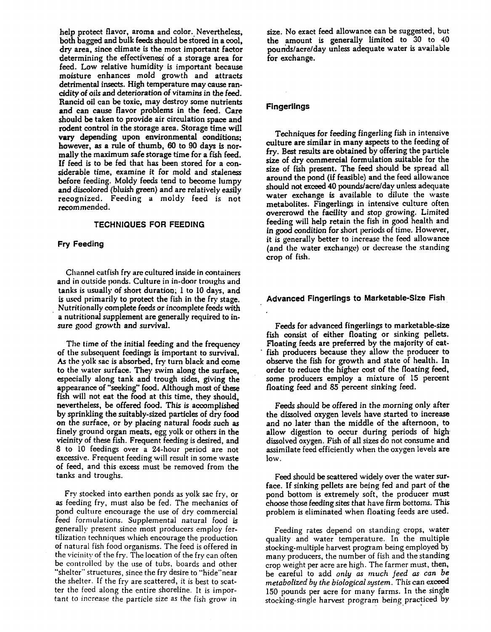help protect flavor, aroma and color. Nevertheless, both bagged and bulk feeds should be stored in a cool, dry area, since climate is the most important factor determining the effectiveness of a storage area for feed. Low relative humidity is important because moisture enhances mold growth and attracts detrimental insects. High temperature may cause rancidity of oils and deterioration of vitamins in the feed. Rancid oil can be toxic, may destroy some nutrients and can cause flavor problems in the feed. Care should be taken to provide air circulation space and rodent control in the storage area. Storage time will vary depending upon environmental conditions; however, as a rule of thumb, 80 to 90 days is normally the maximum safe storage time for a fish feed. If feed is to be fed that has been stored for a considerable time, examine it for mold and staleness before feeding. Moldy feeds tend to become lumpy and discolored (bluish green) and are relatively easily recognized. Feeding a moldy feed is not recommended.

#### **TECHNIQUES FOR FEEDING**

#### **Fry Feeding**

Channel catfish fry are cultured inside in containers and in outside ponds. Culture in in-door troughs and tanks is usually of short duration; 1 to 10 days, and is used primarily to protect the fish in the fry stage. Nutritionally complete feeds or incomplete feeds with a nutritional supplement are generally required to insure good growth and survival.

The time of the initial feeding and the frequency of the subsequent feedings is important to survival. As the yolk sac is absorbed, fry turn black and come to the water surface. They swim along the surface, especially along tank and trough sides, giving the appearance of "seeking" food. Although most of these fish will not eat the food at this time, they should, nevertheless, be offered food. This is accomplished by sprinkling the suitably-sized particles of dry food on the surface, or by placing natural foods such as finely ground organ meats, egg yolk or others in the vicinity of these fish. Frequent feeding is desired, and 8 to 10 feedings over a 24-hour period are not excessive. Frequent feeding will result in some waste of feed, and this excess must be removed from the tanks and troughs.

Fry stocked into earthen ponds as yolk sac fry, or as feeding fry, must also be fed. The mechanics of pond culture encourage the use of dry commercial feed formulations. Supplemental natural food is generally present since most producers employ fertilization techniques which encourage the production of natural fish food organisms. The feed is offered in the vicinity of the fry. The location of the fry can often be controlled by the use of tubs, boards and other "shelter'" structures, since the fry desire to "hide''near the shelter. If the fry are scattered, it is best to scatter the feed along the entire shoreline. It is important to increase the particle size as the fish grow in

size. No exact feed allowance can be suggested, but the amount is generally limited to 30 to 40 pounds/acre/day unless adequate water is available for exchange.

## **Fingerlings**

Techniques for feeding fingerling fish in intensive culture are similar in many aspects to the feeding of fry. Best results are obtained by offering the particle size of dry commercial formulation suitable for the size of fish present. The feed should be spread all around the pond (if feasible) and the feed allowance should not exceed 40 pounds/acre/day unless adequate water exchange is available to dilute the waste metabolites. Fingerlings in intensive culture often overcrowd the facility and stop growing. Limited feeding will help retain the fish in good health and in good condition for short periods of time. However, it is generally better to increase the feed allowance (and the water exchange) or decrease the standing crop of fish.

## **Advanced Fingerlings to Marketable-Size Fish**

Feeds for advanced fingerlings to marketable-size fish consist of either floating or sinking pellets. Floating feeds are preferred by the majority of catfish producers because they allow the producer to observe the fish for growth and state of health. In order to reduce the higher cost of the floating feed, some producers employ a mixture of 15 percent floating feed and 85 percent sinking feed.

Feeds should be offered in the morning only after the dissolved oxygen levels have started to increase and no later than the middle of the afternoon, to allow digestion to occur during periods of high dissolved oxygen. Fish of all sizes do not consume and assimilate feed efficiently when the oxygen levels are low.

Feed should be scattered widely over the water surface. If sinking pellets are being fed and part of the pond bottom is extremely soft, the producer must choose those feeding sites that have firm bottoms. This problem is eliminated when floating feeds are used.

Feeding rates depend on standing crops, water quality and water temperature. In the multiple stocking-multiple harvest program being employed by many producers, the number of fish and the standing crop weight per acre are high. The farmer must, then, be careful to add *only as much feed as can be metabolized by the biological system.* This can exceed 150 pounds per acre for many farms. In the single stocking-single harvest program being practiced by